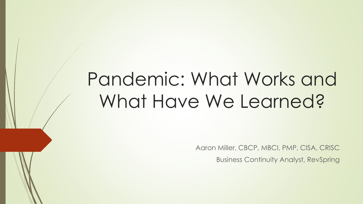# Pandemic: What Works and What Have We Learned?

Aaron Miller, CBCP, MBCI, PMP, CISA, CRISC

Business Continuity Analyst, RevSpring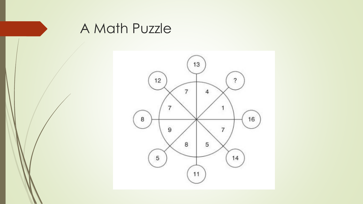

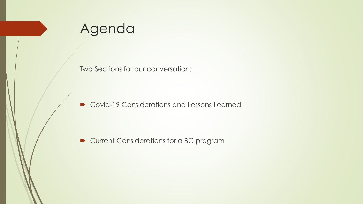

Two Sections for our conversation:

■ Covid-19 Considerations and Lessons Learned

Current Considerations for a BC program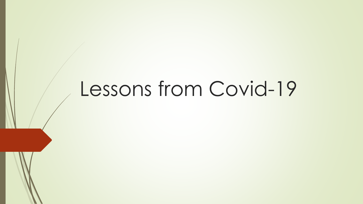## Lessons from Covid-19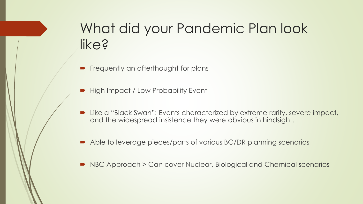## What did your Pandemic Plan look like?

- Frequently an afterthought for plans
- High Impact / Low Probability Event
- Like a "Black Swan": Events characterized by extreme rarity, severe impact, and the widespread insistence they were obvious in hindsight.
- Able to leverage pieces/parts of various BC/DR planning scenarios
- NBC Approach > Can cover Nuclear, Biological and Chemical scenarios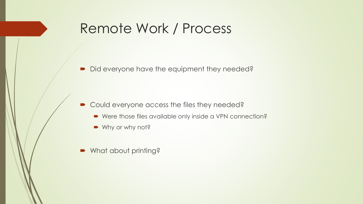### Remote Work / Process

Did everyone have the equipment they needed?

- Could everyone access the files they needed?
	- Were those files available only inside a VPN connection?
	- Why or why not?
- What about printing?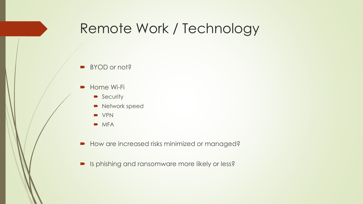### Remote Work / Technology

- BYOD or not?
- **Home Wi-Fi** 
	- **Security**
	- Network speed
	- **D** VPN
	- $MFA$
- How are increased risks minimized or managed?
- **In Its phishing and ransomware more likely or less?**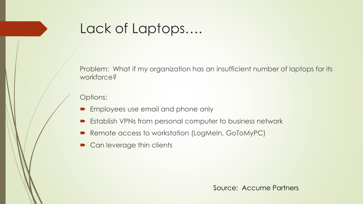### Lack of Laptops….

Problem: What if my organization has an insufficient number of laptops for its workforce?

Options:

- **Employees use email and phone only**
- **Establish VPNs from personal computer to business network**
- Remote access to workstation (LogMeIn, GoToMyPC)
- Can leverage thin clients

Source: Accume Partners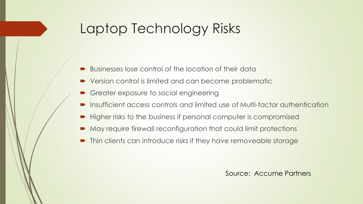### Laptop Technology Risks

- Businesses lose control of the location of their data
- Version control is limited and can become problematic
- Greater exposure to social engineering
- **Insufficient access controls and limited use of Multi-factor authentication**
- Higher risks to the business if personal computer is compromised
- May require firewall reconfiguration that could limit protections
- Thin clients can introduce risks if they have removeable storage

Source: Accume Partners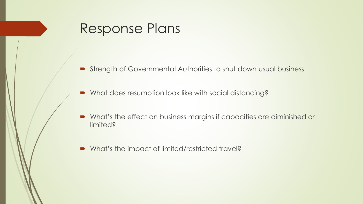### Response Plans

- Strength of Governmental Authorities to shut down usual business
- What does resumption look like with social distancing?
- What's the effect on business margins if capacities are diminished or limited?
- What's the impact of limited/restricted travel?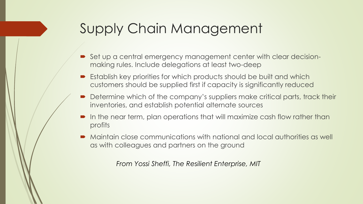### Supply Chain Management

- Set up a central emergency management center with clear decisionmaking rules. Include delegations at least two-deep
- Establish key priorities for which products should be built and which customers should be supplied first if capacity is significantly reduced
- Determine which of the company's suppliers make critical parts, track their inventories, and establish potential alternate sources
- In the near term, plan operations that will maximize cash flow rather than profits
- Maintain close communications with national and local authorities as well as with colleagues and partners on the ground

*From Yossi Sheffi, The Resilient Enterprise, MIT*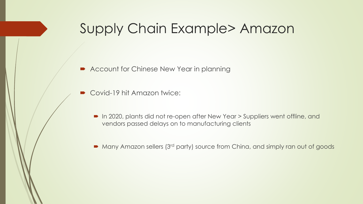### Supply Chain Example> Amazon

- **Account for Chinese New Year in planning**
- Covid-19 hit Amazon twice:
	- In 2020, plants did not re-open after New Year > Suppliers went offline, and vendors passed delays on to manufacturing clients
	- Many Amazon sellers (3<sup>rd</sup> party) source from China, and simply ran out of goods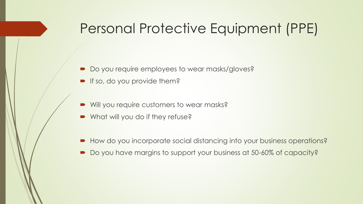### Personal Protective Equipment (PPE)

- Do you require employees to wear masks/gloves?
- **If so, do you provide them?**
- Will you require customers to wear masks?
- What will you do if they refuse?
- How do you incorporate social distancing into your business operations?
- Do you have margins to support your business at 50-60% of capacity?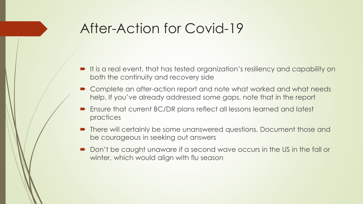### After-Action for Covid-19

- It is a real event, that has tested organization's resiliency and capability on both the continuity and recovery side
- Complete an after-action report and note what worked and what needs help. If you've already addressed some gaps, note that in the report
- Ensure that current BC/DR plans reflect all lessons learned and latest practices
- There will certainly be some unanswered questions. Document those and be courageous in seeking out answers
- Don't be caught unaware if a second wave occurs in the US in the fall or winter, which would align with flu season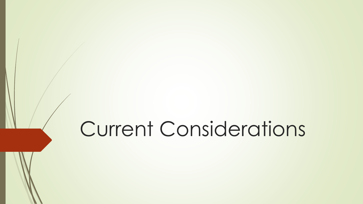# Current Considerations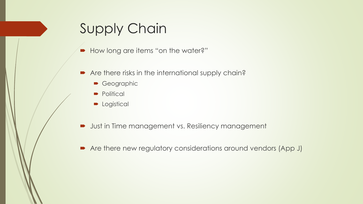### Supply Chain

- How long are items "on the water?"
- Are there risks in the international supply chain?
	- Geographic
	- Political
	- **D** Logistical
- **Just in Time management vs. Resiliency management**
- Are there new regulatory considerations around vendors (App J)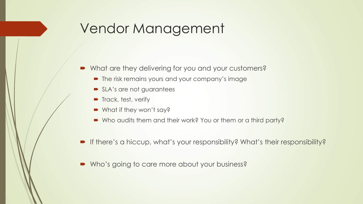### Vendor Management

- What are they delivering for you and your customers?
	- The risk remains yours and your company's image
	- SLA's are not guarantees
	- **Track, test, verify**
	- What if they won't say?
	- Who audits them and their work? You or them or a third party?
- If there's a hiccup, what's your responsibility? What's their responsibility?
- Who's going to care more about your business?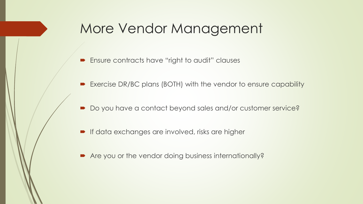### More Vendor Management

- **Ensure contracts have "right to audit" clauses**
- Exercise DR/BC plans (BOTH) with the vendor to ensure capability
- Do you have a contact beyond sales and/or customer service?
- **If data exchanges are involved, risks are higher**
- Are you or the vendor doing business internationally?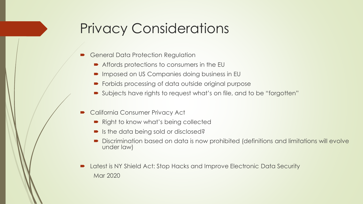### Privacy Considerations

- General Data Protection Regulation
	- Affords protections to consumers in the EU
	- Imposed on US Companies doing business in EU
	- Forbids processing of data outside original purpose
	- Subjects have rights to request what's on file, and to be "forgotten"
- California Consumer Privacy Act
	- Right to know what's being collected
	- Is the data being sold or disclosed?
	- Discrimination based on data is now prohibited (definitions and limitations will evolve under law)
- Latest is NY Shield Act: Stop Hacks and Improve Electronic Data Security Mar 2020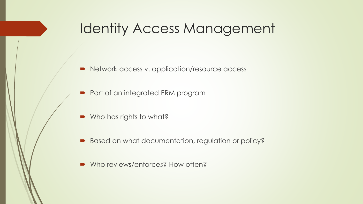### Identity Access Management

- Network access v. application/resource access
- Part of an integrated ERM program
- Who has rights to what?
- Based on what documentation, regulation or policy?
- Who reviews/enforces? How often?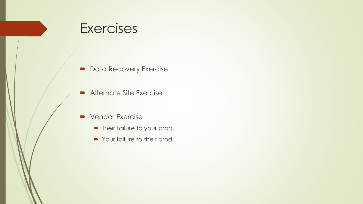### **Exercises**

- Data Recovery Exercise
- **Alternate Site Exercise**
- **Vendor Exercise** 
	- Their failure to your prod
	- Your failure to their prod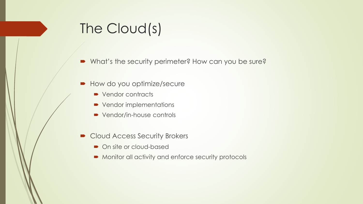## The Cloud(s)

What's the security perimeter? How can you be sure?

- How do you optimize/secure
	- Vendor contracts
	- Vendor implementations
	- Vendor/in-house controls
- Cloud Access Security Brokers
	- On site or cloud-based
	- Monitor all activity and enforce security protocols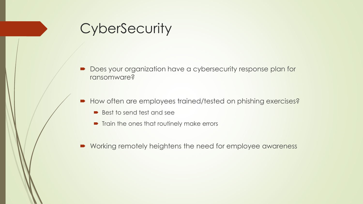### **CyberSecurity**

- Does your organization have a cybersecurity response plan for ransomware?
- How often are employees trained/tested on phishing exercises?
	- Best to send test and see
	- Train the ones that routinely make errors
- Working remotely heightens the need for employee awareness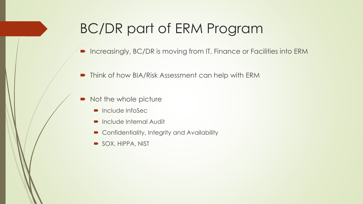## BC/DR part of ERM Program

- Increasingly, BC/DR is moving from IT, Finance or Facilities into ERM
- **•** Think of how BIA/Risk Assessment can help with ERM
- Not the whole picture
	- Include InfoSec
	- Include Internal Audit
	- Confidentiality, Integrity and Availability
	- SOX, HIPPA, NIST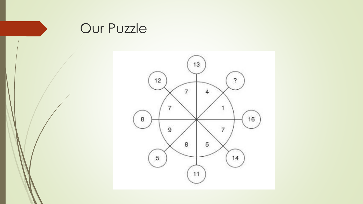